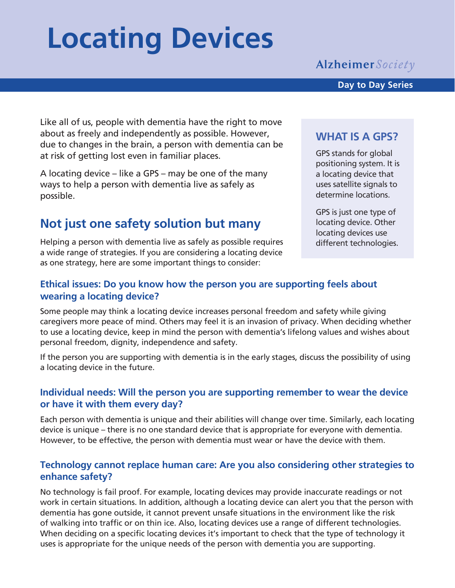# **Locating Devices**

## **Alzheimer** Society

Like all of us, people with dementia have the right to move about as freely and independently as possible. However, due to changes in the brain, a person with dementia can be at risk of getting lost even in familiar places.

A locating device – like a GPS – may be one of the many ways to help a person with dementia live as safely as possible.

## **Not just one safety solution but many**

Helping a person with dementia live as safely as possible requires a wide range of strategies. If you are considering a locating device as one strategy, here are some important things to consider:

#### **WHAT IS A GPS?**

GPS stands for global positioning system. It is a locating device that uses satellite signals to determine locations.

GPS is just one type of locating device. Other locating devices use different technologies.

#### **Ethical issues: Do you know how the person you are supporting feels about wearing a locating device?**

Some people may think a locating device increases personal freedom and safety while giving caregivers more peace of mind. Others may feel it is an invasion of privacy. When deciding whether to use a locating device, keep in mind the person with dementia's lifelong values and wishes about personal freedom, dignity, independence and safety.

If the person you are supporting with dementia is in the early stages, discuss the possibility of using a locating device in the future.

#### **Individual needs: Will the person you are supporting remember to wear the device or have it with them every day?**

Each person with dementia is unique and their abilities will change over time. Similarly, each locating device is unique – there is no one standard device that is appropriate for everyone with dementia. However, to be effective, the person with dementia must wear or have the device with them.

#### **Technology cannot replace human care: Are you also considering other strategies to enhance safety?**

No technology is fail proof. For example, locating devices may provide inaccurate readings or not work in certain situations. In addition, although a locating device can alert you that the person with dementia has gone outside, it cannot prevent unsafe situations in the environment like the risk of walking into traffic or on thin ice. Also, locating devices use a range of different technologies. When deciding on a specific locating devices it's important to check that the type of technology it uses is appropriate for the unique needs of the person with dementia you are supporting.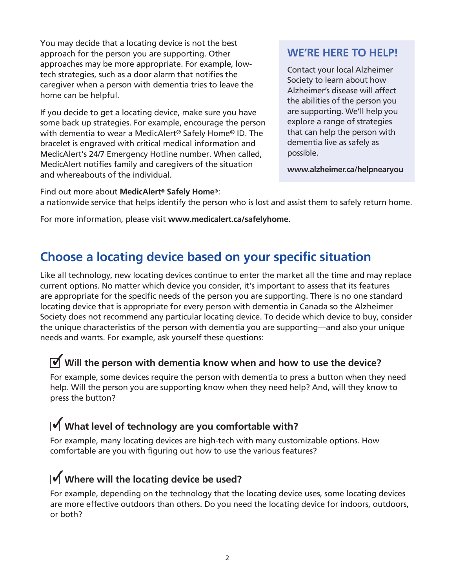You may decide that a locating device is not the best approach for the person you are supporting. Other approaches may be more appropriate. For example, lowtech strategies, such as a door alarm that notifies the caregiver when a person with dementia tries to leave the home can be helpful.

If you decide to get a locating device, make sure you have some back up strategies. For example, encourage the person with dementia to wear a MedicAlert® Safely Home® ID. The bracelet is engraved with critical medical information and MedicAlert's 24/7 Emergency Hotline number. When called, MedicAlert notifies family and caregivers of the situation and whereabouts of the individual.

## **WE'RE HERE TO HELP!**

Contact your local Alzheimer Society to learn about how Alzheimer's disease will affect the abilities of the person you are supporting. We'll help you explore a range of strategies that can help the person with dementia live as safely as possible.

**www.alzheimer.ca/helpnearyou**

Find out more about **MedicAlert® Safely Home®**: a nationwide service that helps identify the person who is lost and assist them to safely return home.

For more information, please visit **www.medicalert.ca/safelyhome**.

## **Choose a locating device based on your specific situation**

Like all technology, new locating devices continue to enter the market all the time and may replace current options. No matter which device you consider, it's important to assess that its features are appropriate for the specific needs of the person you are supporting. There is no one standard locating device that is appropriate for every person with dementia in Canada so the Alzheimer Society does not recommend any particular locating device. To decide which device to buy, consider the unique characteristics of the person with dementia you are supporting—and also your unique needs and wants. For example, ask yourself these questions:

# *M* will the person with dementia know when and how to use the device?

For example, some devices require the person with dementia to press a button when they need help. Will the person you are supporting know when they need help? And, will they know to press the button?

# **What level of technology are you comfortable with?** 3

For example, many locating devices are high-tech with many customizable options. How comfortable are you with figuring out how to use the various features?

# **Where will the locating device be used?** 3

For example, depending on the technology that the locating device uses, some locating devices are more effective outdoors than others. Do you need the locating device for indoors, outdoors, or both?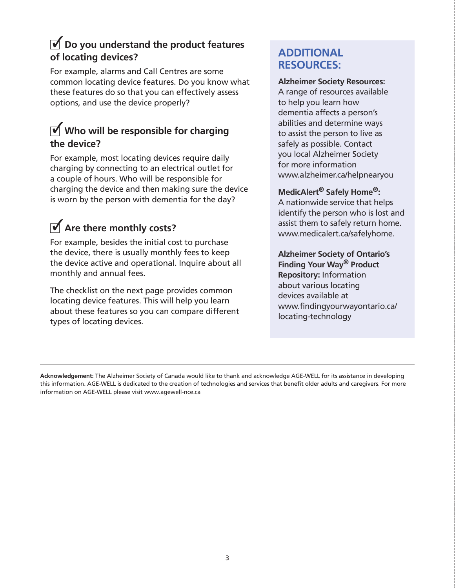## **i** Do you understand the product features **of locating devices?**

For example, alarms and Call Centres are some common locating device features. Do you know what these features do so that you can effectively assess options, and use the device properly?

## *<u>M</u>* Who will be responsible for charging **the device?**

For example, most locating devices require daily charging by connecting to an electrical outlet for a couple of hours. Who will be responsible for charging the device and then making sure the device is worn by the person with dementia for the day?

# **1** Are there monthly costs?

For example, besides the initial cost to purchase the device, there is usually monthly fees to keep the device active and operational. Inquire about all monthly and annual fees.

The checklist on the next page provides common locating device features. This will help you learn about these features so you can compare different types of locating devices.

## **ADDITIONAL RESOURCES:**

#### **Alzheimer Society Resources:**

A range of resources available to help you learn how dementia affects a person's abilities and determine ways to assist the person to live as safely as possible. Contact you local Alzheimer Society for more information www.alzheimer.ca/helpnearyou

#### **MedicAlert® Safely Home®:**

A nationwide service that helps identify the person who is lost and assist them to safely return home. www.medicalert.ca/safelyhome.

**Alzheimer Society of Ontario's Finding Your Way® Product Repository:** Information about various locating devices available at www.findingyourwayontario.ca/ locating-technology

**Acknowledgement:** The Alzheimer Society of Canada would like to thank and acknowledge AGE-WELL for its assistance in developing this information. AGE-WELL is dedicated to the creation of technologies and services that benefit older adults and caregivers. For more information on AGE-WELL please visit www.agewell-nce.ca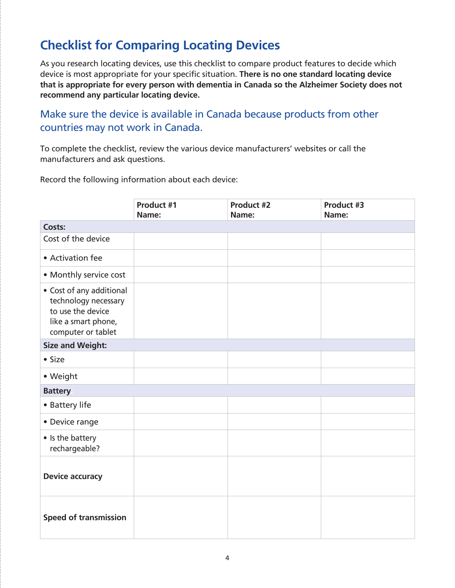# **Checklist for Comparing Locating Devices**

As you research locating devices, use this checklist to compare product features to decide which device is most appropriate for your specific situation. **There is no one standard locating device that is appropriate for every person with dementia in Canada so the Alzheimer Society does not recommend any particular locating device.**

#### Make sure the device is available in Canada because products from other countries may not work in Canada.

To complete the checklist, review the various device manufacturers' websites or call the manufacturers and ask questions.

Record the following information about each device:

|                                                                                                                    | Product #1<br>Name: | Product #2<br>Name: | Product #3<br>Name: |
|--------------------------------------------------------------------------------------------------------------------|---------------------|---------------------|---------------------|
| Costs:                                                                                                             |                     |                     |                     |
| Cost of the device                                                                                                 |                     |                     |                     |
| • Activation fee                                                                                                   |                     |                     |                     |
| • Monthly service cost                                                                                             |                     |                     |                     |
| • Cost of any additional<br>technology necessary<br>to use the device<br>like a smart phone,<br>computer or tablet |                     |                     |                     |
| <b>Size and Weight:</b>                                                                                            |                     |                     |                     |
| $•$ Size                                                                                                           |                     |                     |                     |
| • Weight                                                                                                           |                     |                     |                     |
| <b>Battery</b>                                                                                                     |                     |                     |                     |
| • Battery life                                                                                                     |                     |                     |                     |
| • Device range                                                                                                     |                     |                     |                     |
| • Is the battery<br>rechargeable?                                                                                  |                     |                     |                     |
| <b>Device accuracy</b>                                                                                             |                     |                     |                     |
| <b>Speed of transmission</b>                                                                                       |                     |                     |                     |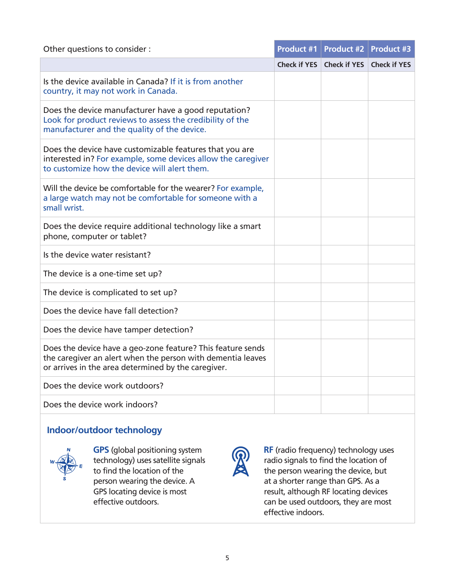| Other questions to consider :                                                                                                                                                     |                     | <b>Product #1 Product #2  </b> | <b>Product #3</b>   |
|-----------------------------------------------------------------------------------------------------------------------------------------------------------------------------------|---------------------|--------------------------------|---------------------|
|                                                                                                                                                                                   | <b>Check if YES</b> | <b>Check if YES</b>            | <b>Check if YES</b> |
| Is the device available in Canada? If it is from another<br>country, it may not work in Canada.                                                                                   |                     |                                |                     |
| Does the device manufacturer have a good reputation?<br>Look for product reviews to assess the credibility of the<br>manufacturer and the quality of the device.                  |                     |                                |                     |
| Does the device have customizable features that you are<br>interested in? For example, some devices allow the caregiver<br>to customize how the device will alert them.           |                     |                                |                     |
| Will the device be comfortable for the wearer? For example,<br>a large watch may not be comfortable for someone with a<br>small wrist.                                            |                     |                                |                     |
| Does the device require additional technology like a smart<br>phone, computer or tablet?                                                                                          |                     |                                |                     |
| Is the device water resistant?                                                                                                                                                    |                     |                                |                     |
| The device is a one-time set up?                                                                                                                                                  |                     |                                |                     |
| The device is complicated to set up?                                                                                                                                              |                     |                                |                     |
| Does the device have fall detection?                                                                                                                                              |                     |                                |                     |
| Does the device have tamper detection?                                                                                                                                            |                     |                                |                     |
| Does the device have a geo-zone feature? This feature sends<br>the caregiver an alert when the person with dementia leaves<br>or arrives in the area determined by the caregiver. |                     |                                |                     |
| Does the device work outdoors?                                                                                                                                                    |                     |                                |                     |
| Does the device work indoors?                                                                                                                                                     |                     |                                |                     |

#### **Indoor/outdoor technology**



**GPS** (global positioning system technology) uses satellite signals to find the location of the person wearing the device. A GPS locating device is most effective outdoors.



**RF** (radio frequency) technology uses radio signals to find the location of the person wearing the device, but at a shorter range than GPS. As a result, although RF locating devices can be used outdoors, they are most effective indoors.